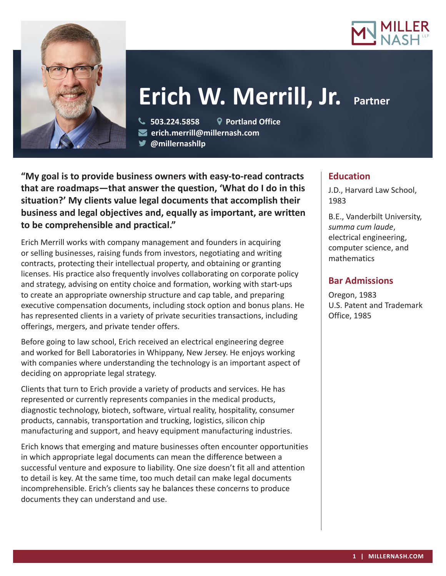



# **Erich W. Merrill, Jr. Partner**

 **503.224.5858 Portland Office erich.merrill@millernash.com** 

**@millernashllp** 

**"My goal is to provide business owners with easy-to-read contracts that are roadmaps—that answer the question, 'What do I do in this situation?' My clients value legal documents that accomplish their business and legal objectives and, equally as important, are written to be comprehensible and practical."**

Erich Merrill works with company management and founders in acquiring or selling businesses, raising funds from investors, negotiating and writing contracts, protecting their intellectual property, and obtaining or granting licenses. His practice also frequently involves collaborating on corporate policy and strategy, advising on entity choice and formation, working with start-ups to create an appropriate ownership structure and cap table, and preparing executive compensation documents, including stock option and bonus plans. He has represented clients in a variety of private securities transactions, including offerings, mergers, and private tender offers.

Before going to law school, Erich received an electrical engineering degree and worked for Bell Laboratories in Whippany, New Jersey. He enjoys working with companies where understanding the technology is an important aspect of deciding on appropriate legal strategy.

Clients that turn to Erich provide a variety of products and services. He has represented or currently represents companies in the medical products, diagnostic technology, biotech, software, virtual reality, hospitality, consumer products, cannabis, transportation and trucking, logistics, silicon chip manufacturing and support, and heavy equipment manufacturing industries.

Erich knows that emerging and mature businesses often encounter opportunities in which appropriate legal documents can mean the difference between a successful venture and exposure to liability. One size doesn't fit all and attention to detail is key. At the same time, too much detail can make legal documents incomprehensible. Erich's clients say he balances these concerns to produce documents they can understand and use.

## **Education**

J.D., Harvard Law School, 1983

B.E., Vanderbilt University, *summa cum laude*, electrical engineering, computer science, and mathematics

# **Bar Admissions**

Oregon, 1983 U.S. Patent and Trademark Office, 1985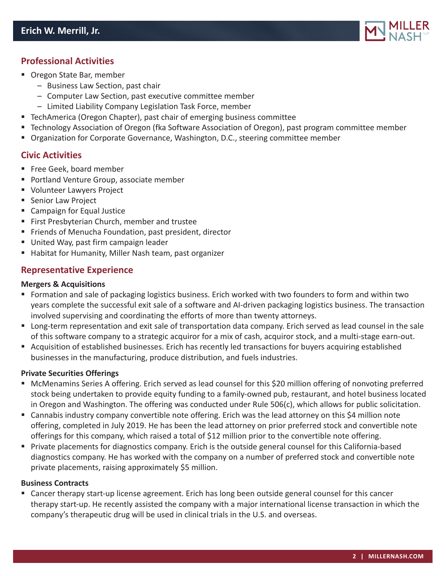

## **Professional Activities**

- Oregon State Bar, member
	- Business Law Section, past chair
	- Computer Law Section, past executive committee member
	- Limited Liability Company Legislation Task Force, member
- TechAmerica (Oregon Chapter), past chair of emerging business committee
- Technology Association of Oregon (fka Software Association of Oregon), past program committee member
- **Diamage 1** Organization for Corporate Governance, Washington, D.C., steering committee member

### **Civic Activities**

- Free Geek, board member
- **Portland Venture Group, associate member**
- Volunteer Lawyers Project
- **Senior Law Project**
- Campaign for Equal Justice
- First Presbyterian Church, member and trustee
- **Firiends of Menucha Foundation, past president, director**
- United Way, past firm campaign leader
- Habitat for Humanity, Miller Nash team, past organizer

## **Representative Experience**

#### **Mergers & Acquisitions**

- Formation and sale of packaging logistics business. Erich worked with two founders to form and within two years complete the successful exit sale of a software and AI-driven packaging logistics business. The transaction involved supervising and coordinating the efforts of more than twenty attorneys.
- Long-term representation and exit sale of transportation data company. Erich served as lead counsel in the sale of this software company to a strategic acquiror for a mix of cash, acquiror stock, and a multi-stage earn-out.
- Acquisition of established businesses. Erich has recently led transactions for buyers acquiring established businesses in the manufacturing, produce distribution, and fuels industries.

#### **Private Securities Offerings**

- McMenamins Series A offering. Erich served as lead counsel for this \$20 million offering of nonvoting preferred stock being undertaken to provide equity funding to a family-owned pub, restaurant, and hotel business located in Oregon and Washington. The offering was conducted under Rule 506(c), which allows for public solicitation.
- Cannabis industry company convertible note offering. Erich was the lead attorney on this \$4 million note offering, completed in July 2019. He has been the lead attorney on prior preferred stock and convertible note offerings for this company, which raised a total of \$12 million prior to the convertible note offering.
- Private placements for diagnostics company. Erich is the outside general counsel for this California-based diagnostics company. He has worked with the company on a number of preferred stock and convertible note private placements, raising approximately \$5 million.

#### **Business Contracts**

 Cancer therapy start-up license agreement. Erich has long been outside general counsel for this cancer therapy start-up. He recently assisted the company with a major international license transaction in which the company's therapeutic drug will be used in clinical trials in the U.S. and overseas.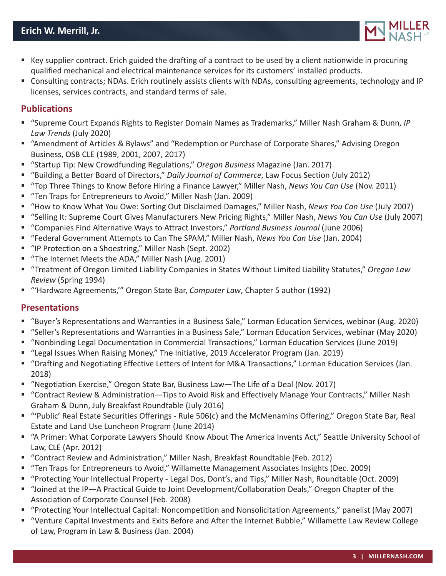

- Key supplier contract. Erich guided the drafting of a contract to be used by a client nationwide in procuring qualified mechanical and electrical maintenance services for its customers' installed products.
- Consulting contracts; NDAs. Erich routinely assists clients with NDAs, consulting agreements, technology and IP licenses, services contracts, and standard terms of sale.

## **Publications**

- "Supreme Court Expands Rights to Register Domain Names as Trademarks," Miller Nash Graham & Dunn, *IP Law Trends* (July 2020)
- "Amendment of Articles & Bylaws" and "Redemption or Purchase of Corporate Shares," Advising Oregon Business, OSB CLE (1989, 2001, 2007, 2017)
- "Startup Tip: New Crowdfunding Regulations," *Oregon Business* Magazine (Jan. 2017)
- "Building a Better Board of Directors," *Daily Journal of Commerce*, Law Focus Section (July 2012)
- "Top Three Things to Know Before Hiring a Finance Lawyer," Miller Nash, *News You Can Use* (Nov. 2011)
- "Ten Traps for Entrepreneurs to Avoid," Miller Nash (Jan. 2009)
- "How to Know What You Owe: Sorting Out Disclaimed Damages," Miller Nash, *News You Can Use* (July 2007)
- "Selling It: Supreme Court Gives Manufacturers New Pricing Rights," Miller Nash, *News You Can Use* (July 2007)
- "Companies Find Alternative Ways to Attract Investors," *Portland Business Journal* (June 2006)
- "Federal Government Attempts to Can The SPAM," Miller Nash, *News You Can Use* (Jan. 2004)
- "IP Protection on a Shoestring," Miller Nash (Sept. 2002)
- "The Internet Meets the ADA," Miller Nash (Aug. 2001)
- "Treatment of Oregon Limited Liability Companies in States Without Limited Liability Statutes," *Oregon Law Review* (Spring 1994)
- "'Hardware Agreements,'" Oregon State Bar, *Computer Law*, Chapter 5 author (1992)

## **Presentations**

- "Buyer's Representations and Warranties in a Business Sale," Lorman Education Services, webinar (Aug. 2020)
- "Seller's Representations and Warranties in a Business Sale," Lorman Education Services, webinar (May 2020)
- "Nonbinding Legal Documentation in Commercial Transactions," Lorman Education Services (June 2019)
- "Legal Issues When Raising Money," The Initiative, 2019 Accelerator Program (Jan. 2019)
- "Drafting and Negotiating Effective Letters of Intent for M&A Transactions," Lorman Education Services (Jan. 2018)
- "Negotiation Exercise," Oregon State Bar, Business Law—The Life of a Deal (Nov. 2017)
- "Contract Review & Administration—Tips to Avoid Risk and Effectively Manage Your Contracts," Miller Nash Graham & Dunn, July Breakfast Roundtable (July 2016)
- "'Public' Real Estate Securities Offerings Rule 506(c) and the McMenamins Offering," Oregon State Bar, Real Estate and Land Use Luncheon Program (June 2014)
- "A Primer: What Corporate Lawyers Should Know About The America Invents Act," Seattle University School of Law, CLE (Apr. 2012)
- "Contract Review and Administration," Miller Nash, Breakfast Roundtable (Feb. 2012)
- "Ten Traps for Entrepreneurs to Avoid," Willamette Management Associates Insights (Dec. 2009)
- "Protecting Your Intellectual Property Legal Dos, Dont's, and Tips," Miller Nash, Roundtable (Oct. 2009)
- "Joined at the IP—A Practical Guide to Joint Development/Collaboration Deals," Oregon Chapter of the Association of Corporate Counsel (Feb. 2008)
- "Protecting Your Intellectual Capital: Noncompetition and Nonsolicitation Agreements," panelist (May 2007)
- "Venture Capital Investments and Exits Before and After the Internet Bubble," Willamette Law Review College of Law, Program in Law & Business (Jan. 2004)